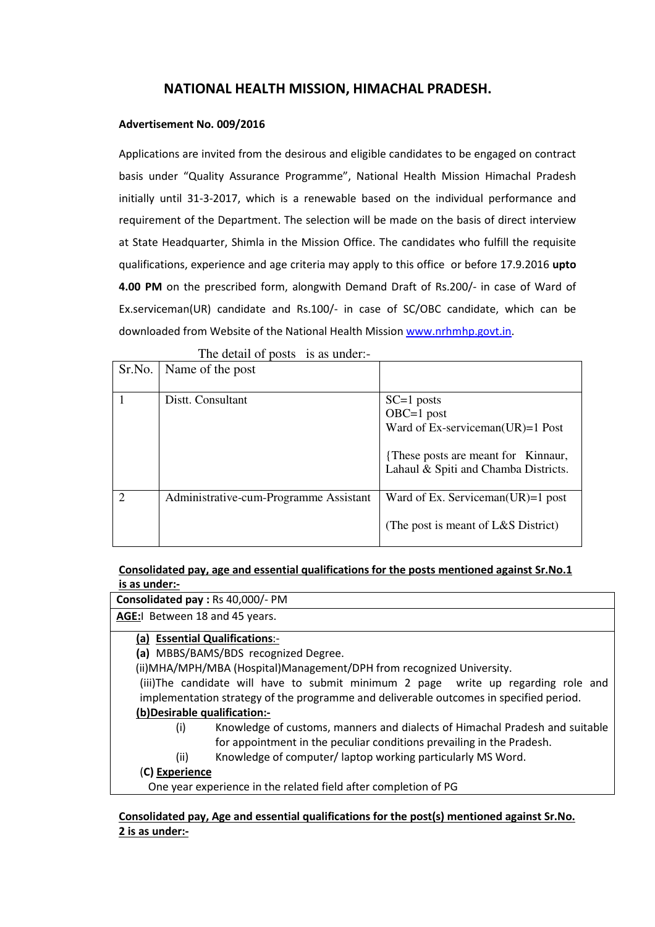# NATIONAL HEALTH MISSION, HIMACHAL PRADESH.

#### Advertisement No. 009/2016

Applications are invited from the desirous and eligible candidates to be engaged on contract basis under "Quality Assurance Programme", National Health Mission Himachal Pradesh initially until 31-3-2017, which is a renewable based on the individual performance and requirement of the Department. The selection will be made on the basis of direct interview at State Headquarter, Shimla in the Mission Office. The candidates who fulfill the requisite qualifications, experience and age criteria may apply to this office or before 17.9.2016 upto 4.00 PM on the prescribed form, alongwith Demand Draft of Rs.200/- in case of Ward of Ex.serviceman(UR) candidate and Rs.100/- in case of SC/OBC candidate, which can be downloaded from Website of the National Health Mission www.nrhmhp.govt.in.

| Sr.No. | Name of the post                       |                                                                                                                                                     |
|--------|----------------------------------------|-----------------------------------------------------------------------------------------------------------------------------------------------------|
|        | Distt. Consultant                      | $SC=1$ posts<br>$OBC=1$ post<br>Ward of Ex-serviceman( $UR$ )=1 Post<br>{These posts are meant for Kinnaur,<br>Lahaul & Spiti and Chamba Districts. |
|        | Administrative-cum-Programme Assistant | Ward of Ex. Serviceman( $UR$ )=1 post<br>(The post is meant of L&S District)                                                                        |

The detail of posts is as under:-

#### Consolidated pay, age and essential qualifications for the posts mentioned against Sr.No.1 is as under:-

Consolidated pay : Rs 40,000/- PM

AGE:I Between 18 and 45 years.

### (a) Essential Qualifications:-

(a) MBBS/BAMS/BDS recognized Degree.

(ii)MHA/MPH/MBA (Hospital)Management/DPH from recognized University.

(iii)The candidate will have to submit minimum 2 page write up regarding role and implementation strategy of the programme and deliverable outcomes in specified period.

### (b)Desirable qualification:-

- (i) Knowledge of customs, manners and dialects of Himachal Pradesh and suitable for appointment in the peculiar conditions prevailing in the Pradesh.
- (ii) Knowledge of computer/ laptop working particularly MS Word.

### (C) Experience

One year experience in the related field after completion of PG

#### Consolidated pay, Age and essential qualifications for the post(s) mentioned against Sr.No. 2 is as under:-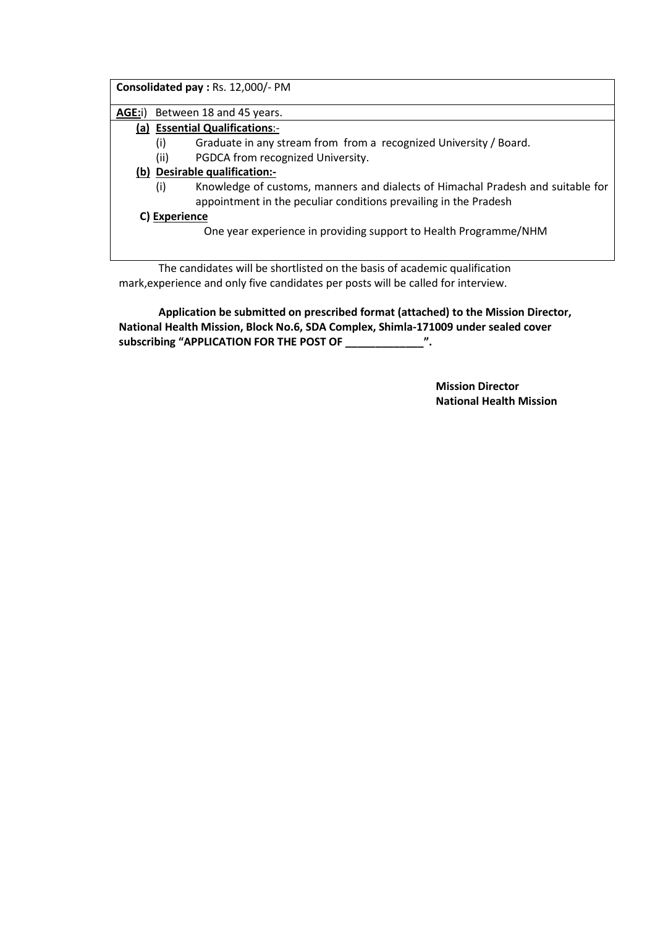| Consolidated pay : Rs. 12,000/- PM |                                                                                                                                                            |  |  |  |  |  |
|------------------------------------|------------------------------------------------------------------------------------------------------------------------------------------------------------|--|--|--|--|--|
| AGE:i)                             | Between 18 and 45 years.                                                                                                                                   |  |  |  |  |  |
|                                    | (a) Essential Qualifications:-                                                                                                                             |  |  |  |  |  |
|                                    | Graduate in any stream from from a recognized University / Board.<br>(i)                                                                                   |  |  |  |  |  |
|                                    | (ii)<br>PGDCA from recognized University.                                                                                                                  |  |  |  |  |  |
|                                    | (b) Desirable qualification:-                                                                                                                              |  |  |  |  |  |
|                                    | Knowledge of customs, manners and dialects of Himachal Pradesh and suitable for<br>(i)<br>appointment in the peculiar conditions prevailing in the Pradesh |  |  |  |  |  |
| C) Experience                      |                                                                                                                                                            |  |  |  |  |  |
|                                    | One year experience in providing support to Health Programme/NHM                                                                                           |  |  |  |  |  |
|                                    |                                                                                                                                                            |  |  |  |  |  |

 The candidates will be shortlisted on the basis of academic qualification mark,experience and only five candidates per posts will be called for interview.

 Application be submitted on prescribed format (attached) to the Mission Director, National Health Mission, Block No.6, SDA Complex, Shimla-171009 under sealed cover subscribing "APPLICATION FOR THE POST OF \_\_\_\_\_\_\_\_\_\_\_\_\_\_\_".

> Mission Director National Health Mission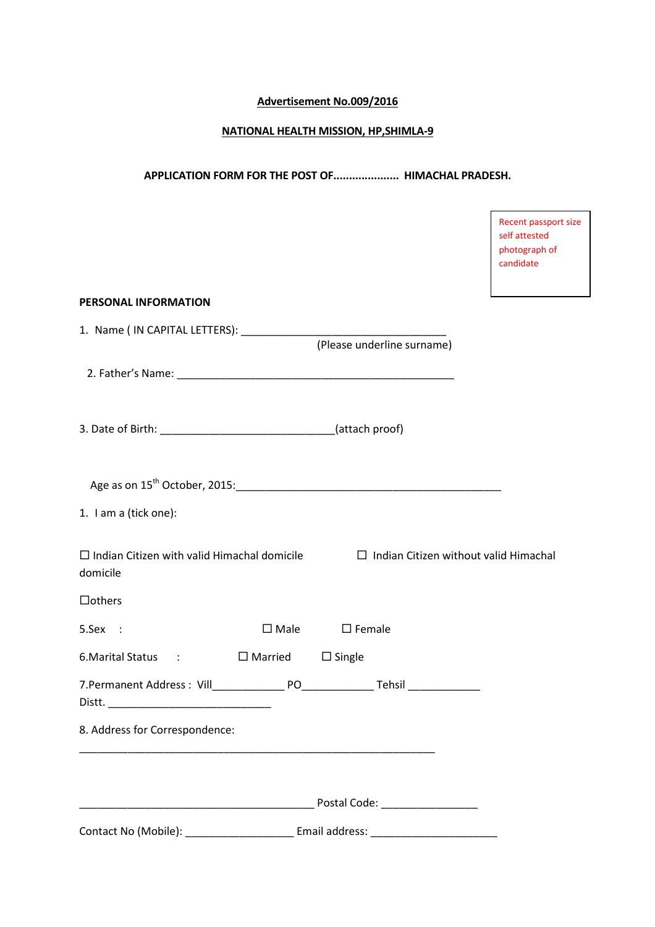## Advertisement No.009/2016

#### NATIONAL HEALTH MISSION, HP,SHIMLA-9

### APPLICATION FORM FOR THE POST OF..................... HIMACHAL PRADESH.

Recent passport size

|                                                                                                             |                                         | self attested<br>photograph of<br>candidate |
|-------------------------------------------------------------------------------------------------------------|-----------------------------------------|---------------------------------------------|
| PERSONAL INFORMATION                                                                                        |                                         |                                             |
|                                                                                                             | (Please underline surname)              |                                             |
|                                                                                                             |                                         |                                             |
| 3. Date of Birth: ___________________________________(attach proof)                                         |                                         |                                             |
|                                                                                                             |                                         |                                             |
| 1. I am a (tick one):                                                                                       |                                         |                                             |
| $\Box$ Indian Citizen with valid Himachal domicile $\Box$ Indian Citizen without valid Himachal<br>domicile |                                         |                                             |
| $\Box$ others                                                                                               |                                         |                                             |
| 5.Sex :                                                                                                     | $\Box$ Male $\Box$ Female               |                                             |
| 6. Marital Status : □ Married □ Single                                                                      |                                         |                                             |
|                                                                                                             |                                         |                                             |
| 8. Address for Correspondence:                                                                              |                                         |                                             |
|                                                                                                             | ______ Postal Code: ___________________ |                                             |
|                                                                                                             |                                         |                                             |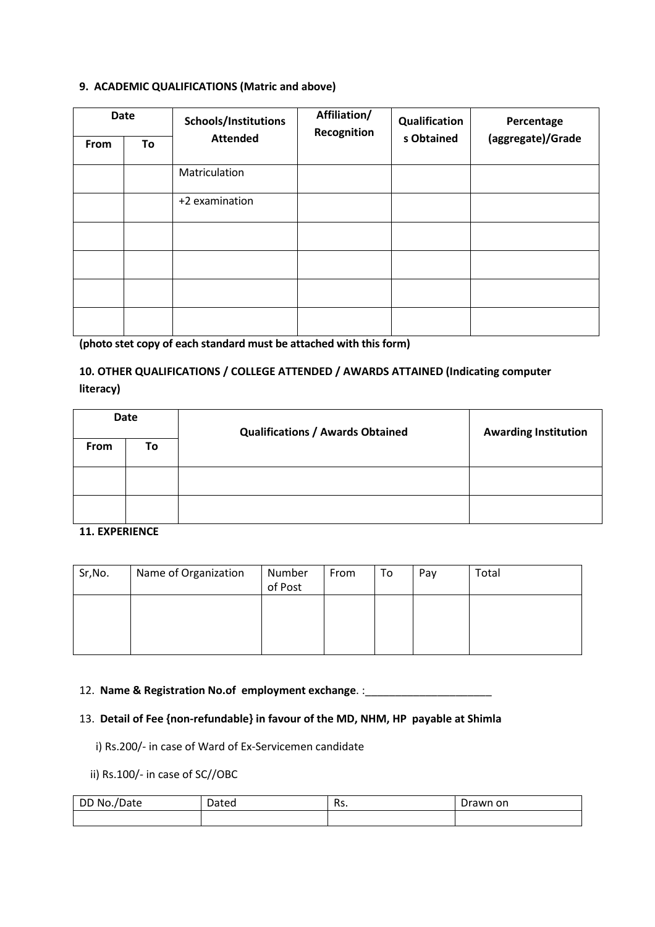### 9. ACADEMIC QUALIFICATIONS (Matric and above)

| <b>Date</b> |    | Schools/Institutions | Affiliation/<br>Recognition | Qualification | Percentage        |  |
|-------------|----|----------------------|-----------------------------|---------------|-------------------|--|
| From        | To | <b>Attended</b>      |                             | s Obtained    | (aggregate)/Grade |  |
|             |    | Matriculation        |                             |               |                   |  |
|             |    | +2 examination       |                             |               |                   |  |
|             |    |                      |                             |               |                   |  |
|             |    |                      |                             |               |                   |  |
|             |    |                      |                             |               |                   |  |
|             |    |                      |                             |               |                   |  |

(photo stet copy of each standard must be attached with this form)

# 10. OTHER QUALIFICATIONS / COLLEGE ATTENDED / AWARDS ATTAINED (Indicating computer literacy)

| Date        |    | <b>Qualifications / Awards Obtained</b> | <b>Awarding Institution</b> |  |
|-------------|----|-----------------------------------------|-----------------------------|--|
| <b>From</b> | To |                                         |                             |  |
|             |    |                                         |                             |  |
|             |    |                                         |                             |  |

#### 11. EXPERIENCE

| Sr, No. | Name of Organization | Number<br>of Post | From | To | Pay | Total |
|---------|----------------------|-------------------|------|----|-----|-------|
|         |                      |                   |      |    |     |       |

### 12. Name & Registration No.of employment exchange. :

## 13. Detail of Fee {non-refundable} in favour of the MD, NHM, HP payable at Shimla

i) Rs.200/- in case of Ward of Ex-Servicemen candidate

# ii) Rs.100/- in case of SC//OBC

| No.<br>DD<br>/Date | Dated | D,<br>ns. | rawn on<br>$\sim$ $\sim$<br>ັ |
|--------------------|-------|-----------|-------------------------------|
|                    |       |           |                               |